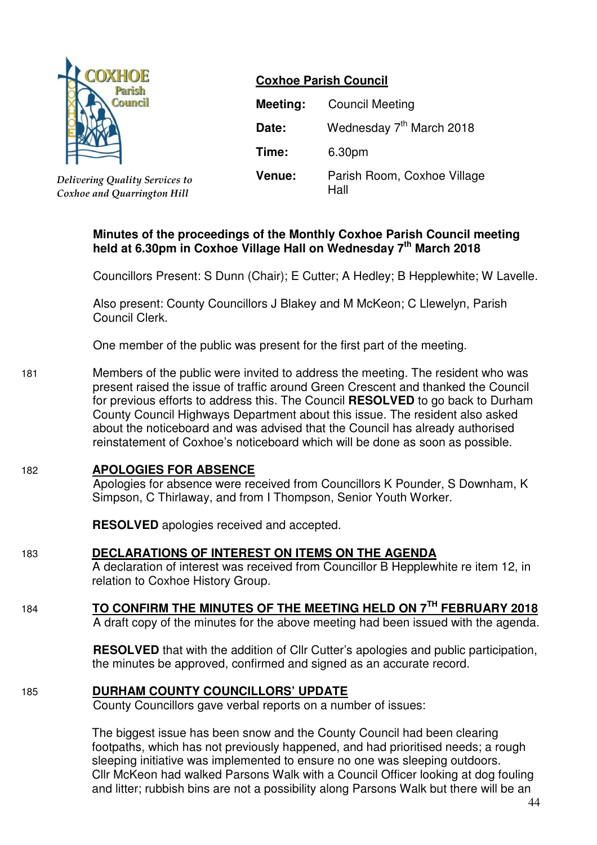

*Delivering Quality Services to Coxhoe and Quarrington Hill*

## **Coxhoe Parish Council**

| Meeting: | <b>Council Meeting</b>               |  |  |
|----------|--------------------------------------|--|--|
| Date:    | Wednesday 7 <sup>th</sup> March 2018 |  |  |
| Time:    | 6.30pm                               |  |  |
| Venue:   | Parish Room, Coxhoe Village<br>Hall  |  |  |

## **Minutes of the proceedings of the Monthly Coxhoe Parish Council meeting held at 6.30pm in Coxhoe Village Hall on Wednesday 7 th March 2018**

Councillors Present: S Dunn (Chair); E Cutter; A Hedley; B Hepplewhite; W Lavelle.

Also present: County Councillors J Blakey and M McKeon; C Llewelyn, Parish Council Clerk.

One member of the public was present for the first part of the meeting.

181 Members of the public were invited to address the meeting. The resident who was present raised the issue of traffic around Green Crescent and thanked the Council for previous efforts to address this. The Council **RESOLVED** to go back to Durham County Council Highways Department about this issue. The resident also asked about the noticeboard and was advised that the Council has already authorised reinstatement of Coxhoe's noticeboard which will be done as soon as possible.

## 182 **APOLOGIES FOR ABSENCE**

 Apologies for absence were received from Councillors K Pounder, S Downham, K Simpson, C Thirlaway, and from I Thompson, Senior Youth Worker.

**RESOLVED** apologies received and accepted.

- 183 **DECLARATIONS OF INTEREST ON ITEMS ON THE AGENDA**
	- A declaration of interest was received from Councillor B Hepplewhite re item 12, in relation to Coxhoe History Group.
- <sup>184</sup> **TO CONFIRM THE MINUTES OF THE MEETING HELD ON 7TH FEBRUARY 2018** A draft copy of the minutes for the above meeting had been issued with the agenda.

**RESOLVED** that with the addition of Cllr Cutter's apologies and public participation, the minutes be approved, confirmed and signed as an accurate record.

185 **DURHAM COUNTY COUNCILLORS' UPDATE**

County Councillors gave verbal reports on a number of issues:

The biggest issue has been snow and the County Council had been clearing footpaths, which has not previously happened, and had prioritised needs; a rough sleeping initiative was implemented to ensure no one was sleeping outdoors. Cllr McKeon had walked Parsons Walk with a Council Officer looking at dog fouling and litter; rubbish bins are not a possibility along Parsons Walk but there will be an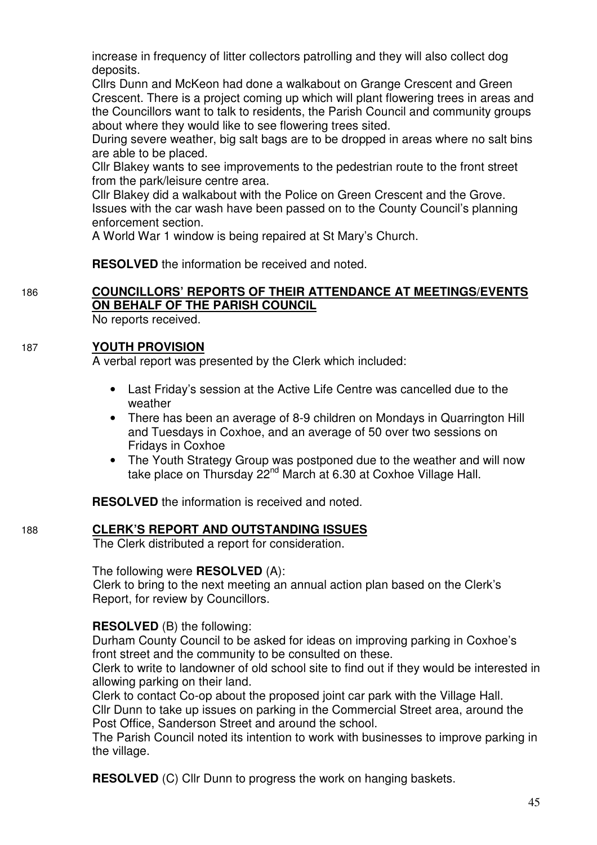increase in frequency of litter collectors patrolling and they will also collect dog deposits.

Cllrs Dunn and McKeon had done a walkabout on Grange Crescent and Green Crescent. There is a project coming up which will plant flowering trees in areas and the Councillors want to talk to residents, the Parish Council and community groups about where they would like to see flowering trees sited.

During severe weather, big salt bags are to be dropped in areas where no salt bins are able to be placed.

Cllr Blakey wants to see improvements to the pedestrian route to the front street from the park/leisure centre area.

Cllr Blakey did a walkabout with the Police on Green Crescent and the Grove. Issues with the car wash have been passed on to the County Council's planning enforcement section.

A World War 1 window is being repaired at St Mary's Church.

**RESOLVED** the information be received and noted.

# 186 **COUNCILLORS' REPORTS OF THEIR ATTENDANCE AT MEETINGS/EVENTS ON BEHALF OF THE PARISH COUNCIL**

No reports received.

## 187 **YOUTH PROVISION**

A verbal report was presented by the Clerk which included:

- Last Friday's session at the Active Life Centre was cancelled due to the weather
- There has been an average of 8-9 children on Mondays in Quarrington Hill and Tuesdays in Coxhoe, and an average of 50 over two sessions on Fridays in Coxhoe
- The Youth Strategy Group was postponed due to the weather and will now take place on Thursday 22<sup>nd</sup> March at 6.30 at Coxhoe Village Hall.

**RESOLVED** the information is received and noted.

## 188 **CLERK'S REPORT AND OUTSTANDING ISSUES**

The Clerk distributed a report for consideration.

### The following were **RESOLVED** (A):

 Clerk to bring to the next meeting an annual action plan based on the Clerk's Report, for review by Councillors.

**RESOLVED** (B) the following:

Durham County Council to be asked for ideas on improving parking in Coxhoe's front street and the community to be consulted on these.

Clerk to write to landowner of old school site to find out if they would be interested in allowing parking on their land.

Clerk to contact Co-op about the proposed joint car park with the Village Hall. Cllr Dunn to take up issues on parking in the Commercial Street area, around the Post Office, Sanderson Street and around the school.

The Parish Council noted its intention to work with businesses to improve parking in the village.

**RESOLVED** (C) Cllr Dunn to progress the work on hanging baskets.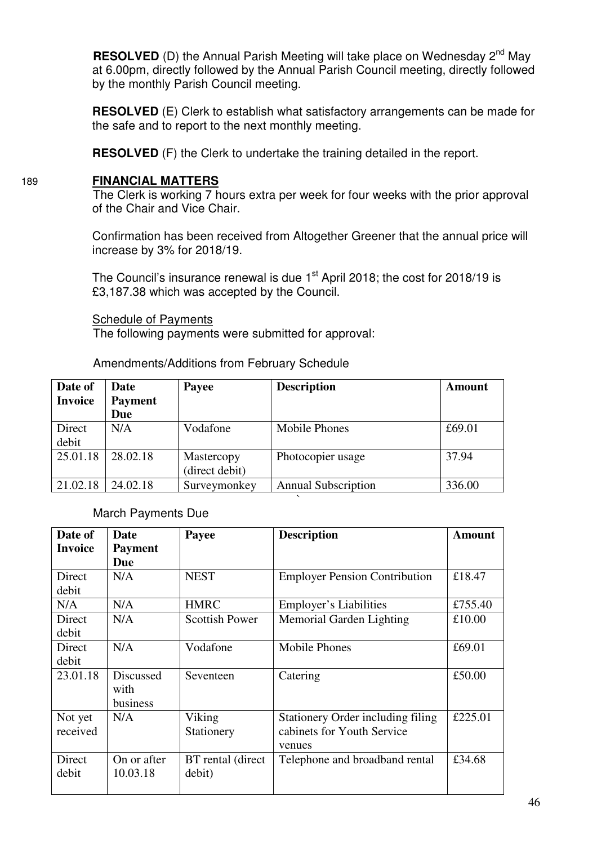**RESOLVED** (D) the Annual Parish Meeting will take place on Wednesday 2<sup>nd</sup> May at 6.00pm, directly followed by the Annual Parish Council meeting, directly followed by the monthly Parish Council meeting.

**RESOLVED** (E) Clerk to establish what satisfactory arrangements can be made for the safe and to report to the next monthly meeting.

**RESOLVED** (F) the Clerk to undertake the training detailed in the report.

## 189 **FINANCIAL MATTERS**

The Clerk is working 7 hours extra per week for four weeks with the prior approval of the Chair and Vice Chair.

Confirmation has been received from Altogether Greener that the annual price will increase by 3% for 2018/19.

The Council's insurance renewal is due  $1<sup>st</sup>$  April 2018; the cost for 2018/19 is £3,187.38 which was accepted by the Council.

#### Schedule of Payments

The following payments were submitted for approval:

Amendments/Additions from February Schedule

| Date of        | Date           | Payee          | <b>Description</b>         | <b>Amount</b> |
|----------------|----------------|----------------|----------------------------|---------------|
| <b>Invoice</b> | <b>Payment</b> |                |                            |               |
|                | Due            |                |                            |               |
| Direct         | N/A            | Vodafone       | <b>Mobile Phones</b>       | £69.01        |
| debit          |                |                |                            |               |
| 25.01.18       | 28.02.18       | Mastercopy     | Photocopier usage          | 37.94         |
|                |                | (direct debit) |                            |               |
| 21.02.18       | 24.02.18       | Surveymonkey   | <b>Annual Subscription</b> | 336.00        |

`

## March Payments Due

| Date of             | Date                          | Payee                       | <b>Description</b>                                                        | <b>Amount</b> |
|---------------------|-------------------------------|-----------------------------|---------------------------------------------------------------------------|---------------|
| <b>Invoice</b>      | <b>Payment</b><br><b>Due</b>  |                             |                                                                           |               |
| Direct<br>debit     | N/A                           | <b>NEST</b>                 | <b>Employer Pension Contribution</b>                                      | £18.47        |
| N/A                 | N/A                           | <b>HMRC</b>                 | <b>Employer's Liabilities</b>                                             | £755.40       |
| Direct<br>debit     | N/A                           | <b>Scottish Power</b>       | Memorial Garden Lighting                                                  | £10.00        |
| Direct<br>debit     | N/A                           | Vodafone                    | <b>Mobile Phones</b>                                                      | £69.01        |
| 23.01.18            | Discussed<br>with<br>business | Seventeen                   | Catering                                                                  | £50.00        |
| Not yet<br>received | N/A                           | Viking<br>Stationery        | Stationery Order including filing<br>cabinets for Youth Service<br>venues | £225.01       |
| Direct<br>debit     | On or after<br>10.03.18       | BT rental (direct<br>debit) | Telephone and broadband rental                                            | £34.68        |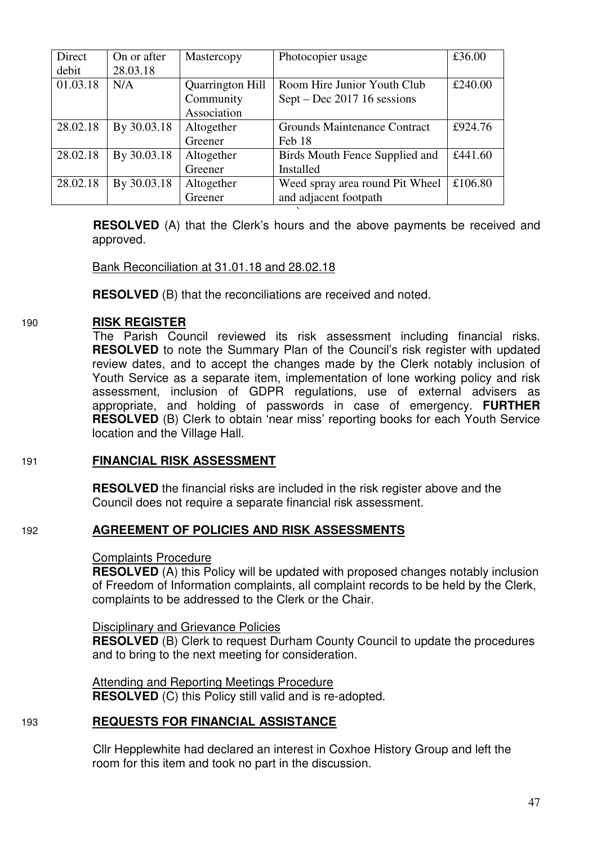| Direct   | On or after | Mastercopy              | Photocopier usage                   | £36.00  |
|----------|-------------|-------------------------|-------------------------------------|---------|
| debit    | 28.03.18    |                         |                                     |         |
| 01.03.18 | N/A         | <b>Quarrington Hill</b> | Room Hire Junior Youth Club         | £240.00 |
|          |             | Community               | Sept – Dec 2017 16 sessions         |         |
|          |             | Association             |                                     |         |
| 28.02.18 | By 30.03.18 | Altogether              | <b>Grounds Maintenance Contract</b> | £924.76 |
|          |             | Greener                 | Feb 18                              |         |
| 28.02.18 | By 30.03.18 | Altogether              | Birds Mouth Fence Supplied and      | £441.60 |
|          |             | Greener                 | Installed                           |         |
| 28.02.18 | By 30.03.18 | Altogether              | Weed spray area round Pit Wheel     | £106.80 |
|          |             | Greener                 | and adjacent footpath               |         |

` **RESOLVED** (A) that the Clerk's hours and the above payments be received and approved.

## Bank Reconciliation at 31.01.18 and 28.02.18

**RESOLVED** (B) that the reconciliations are received and noted.

### 190 **RISK REGISTER**

 The Parish Council reviewed its risk assessment including financial risks. **RESOLVED** to note the Summary Plan of the Council's risk register with updated review dates, and to accept the changes made by the Clerk notably inclusion of Youth Service as a separate item, implementation of lone working policy and risk assessment, inclusion of GDPR regulations, use of external advisers as appropriate, and holding of passwords in case of emergency. **FURTHER RESOLVED** (B) Clerk to obtain 'near miss' reporting books for each Youth Service location and the Village Hall.

### 191 **FINANCIAL RISK ASSESSMENT**

**RESOLVED** the financial risks are included in the risk register above and the Council does not require a separate financial risk assessment.

### 192 **AGREEMENT OF POLICIES AND RISK ASSESSMENTS**

#### Complaints Procedure

**RESOLVED** (A) this Policy will be updated with proposed changes notably inclusion of Freedom of Information complaints, all complaint records to be held by the Clerk, complaints to be addressed to the Clerk or the Chair.

### Disciplinary and Grievance Policies

**RESOLVED** (B) Clerk to request Durham County Council to update the procedures and to bring to the next meeting for consideration.

 Attending and Reporting Meetings Procedure **RESOLVED** (C) this Policy still valid and is re-adopted.

## 193 **REQUESTS FOR FINANCIAL ASSISTANCE**

 Cllr Hepplewhite had declared an interest in Coxhoe History Group and left the room for this item and took no part in the discussion.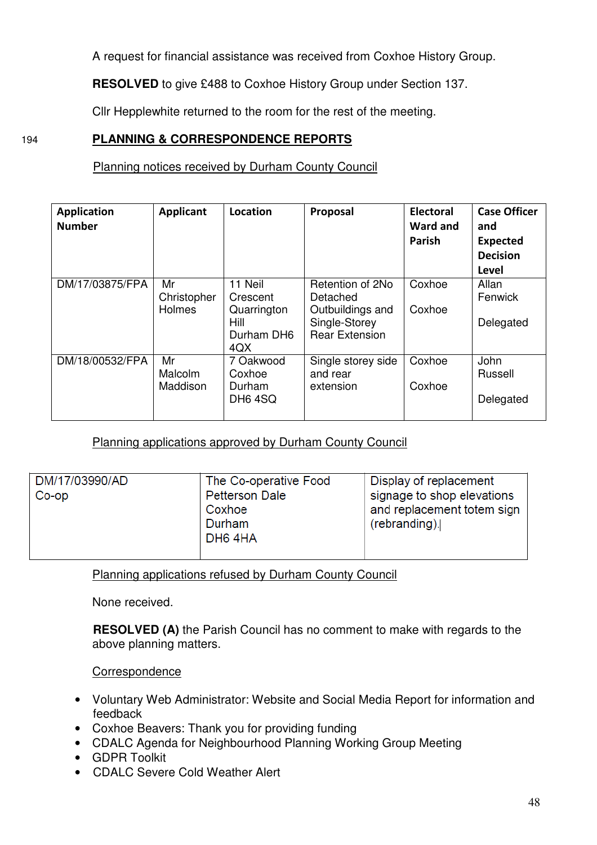A request for financial assistance was received from Coxhoe History Group.

**RESOLVED** to give £488 to Coxhoe History Group under Section 137.

Cllr Hepplewhite returned to the room for the rest of the meeting.

## 194 **PLANNING & CORRESPONDENCE REPORTS**

## Planning notices received by Durham County Council

| <b>Application</b><br><b>Number</b> | <b>Applicant</b>                   | Location                                                        | Proposal                                                                                   | <b>Electoral</b><br><b>Ward and</b><br>Parish | <b>Case Officer</b><br>and<br><b>Expected</b><br><b>Decision</b><br>Level |
|-------------------------------------|------------------------------------|-----------------------------------------------------------------|--------------------------------------------------------------------------------------------|-----------------------------------------------|---------------------------------------------------------------------------|
| DM/17/03875/FPA                     | Mr<br>Christopher<br><b>Holmes</b> | 11 Neil<br>Crescent<br>Quarrington<br>Hill<br>Durham DH6<br>4QX | Retention of 2No<br>Detached<br>Outbuildings and<br>Single-Storey<br><b>Rear Extension</b> | Coxhoe<br>Coxhoe                              | Allan<br>Fenwick<br>Delegated                                             |
| DM/18/00532/FPA                     | Mr<br><b>Malcolm</b><br>Maddison   | 7 Oakwood<br>Coxhoe<br>Durham<br>DH <sub>6</sub> 4SQ            | Single storey side<br>and rear<br>extension                                                | Coxhoe<br>Coxhoe                              | John<br>Russell<br>Delegated                                              |

Planning applications approved by Durham County Council

| DM/17/03990/AD<br>$Co$ -op | The Co-operative Food<br><b>Petterson Dale</b><br>Coxhoe<br>Durham<br>DH64HA | Display of replacement<br>signage to shop elevations<br>and replacement totem sign<br>$(rebranding)$ . |
|----------------------------|------------------------------------------------------------------------------|--------------------------------------------------------------------------------------------------------|
|                            |                                                                              |                                                                                                        |

Planning applications refused by Durham County Council

None received.

 **RESOLVED (A)** the Parish Council has no comment to make with regards to the above planning matters.

**Correspondence** 

- Voluntary Web Administrator: Website and Social Media Report for information and feedback
- Coxhoe Beavers: Thank you for providing funding
- CDALC Agenda for Neighbourhood Planning Working Group Meeting
- GDPR Toolkit
- CDALC Severe Cold Weather Alert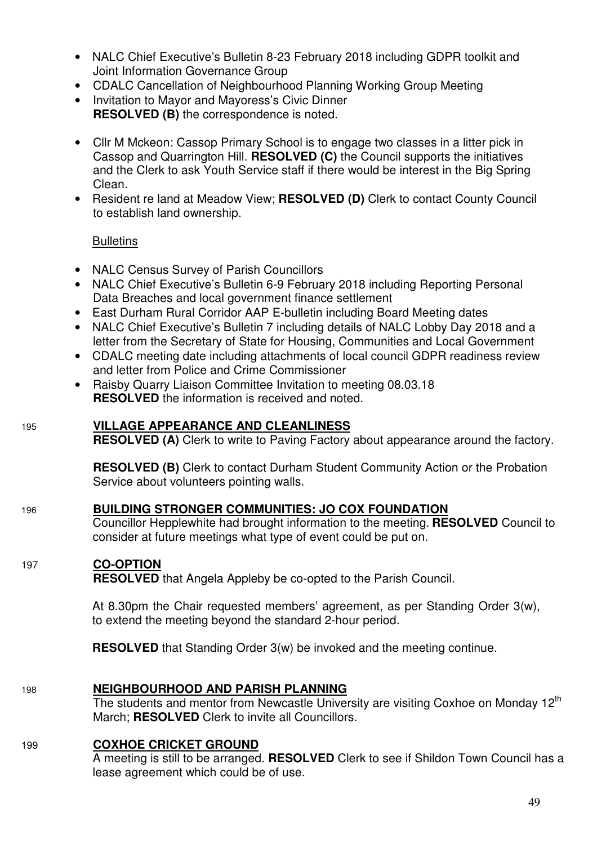- NALC Chief Executive's Bulletin 8-23 February 2018 including GDPR toolkit and Joint Information Governance Group
- CDALC Cancellation of Neighbourhood Planning Working Group Meeting
- Invitation to Mayor and Mayoress's Civic Dinner **RESOLVED (B)** the correspondence is noted.
- Cllr M Mckeon: Cassop Primary School is to engage two classes in a litter pick in Cassop and Quarrington Hill. **RESOLVED (C)** the Council supports the initiatives and the Clerk to ask Youth Service staff if there would be interest in the Big Spring Clean.
- Resident re land at Meadow View; **RESOLVED (D)** Clerk to contact County Council to establish land ownership.

## **Bulletins**

- NALC Census Survey of Parish Councillors
- NALC Chief Executive's Bulletin 6-9 February 2018 including Reporting Personal Data Breaches and local government finance settlement
- East Durham Rural Corridor AAP E-bulletin including Board Meeting dates
- NALC Chief Executive's Bulletin 7 including details of NALC Lobby Day 2018 and a letter from the Secretary of State for Housing, Communities and Local Government
- CDALC meeting date including attachments of local council GDPR readiness review and letter from Police and Crime Commissioner
- Raisby Quarry Liaison Committee Invitation to meeting 08.03.18 **RESOLVED** the information is received and noted.

## 195 **VILLAGE APPEARANCE AND CLEANLINESS**

**RESOLVED (A)** Clerk to write to Paving Factory about appearance around the factory.

**RESOLVED (B)** Clerk to contact Durham Student Community Action or the Probation Service about volunteers pointing walls.

### 196 **BUILDING STRONGER COMMUNITIES: JO COX FOUNDATION**

Councillor Hepplewhite had brought information to the meeting. **RESOLVED** Council to consider at future meetings what type of event could be put on.

### 197 **CO-OPTION**

**RESOLVED** that Angela Appleby be co-opted to the Parish Council.

At 8.30pm the Chair requested members' agreement, as per Standing Order 3(w), to extend the meeting beyond the standard 2-hour period.

**RESOLVED** that Standing Order 3(w) be invoked and the meeting continue.

### 198 **NEIGHBOURHOOD AND PARISH PLANNING**

The students and mentor from Newcastle University are visiting Coxhoe on Monday  $12<sup>th</sup>$ March; **RESOLVED** Clerk to invite all Councillors.

### 199 **COXHOE CRICKET GROUND**

A meeting is still to be arranged. **RESOLVED** Clerk to see if Shildon Town Council has a lease agreement which could be of use.